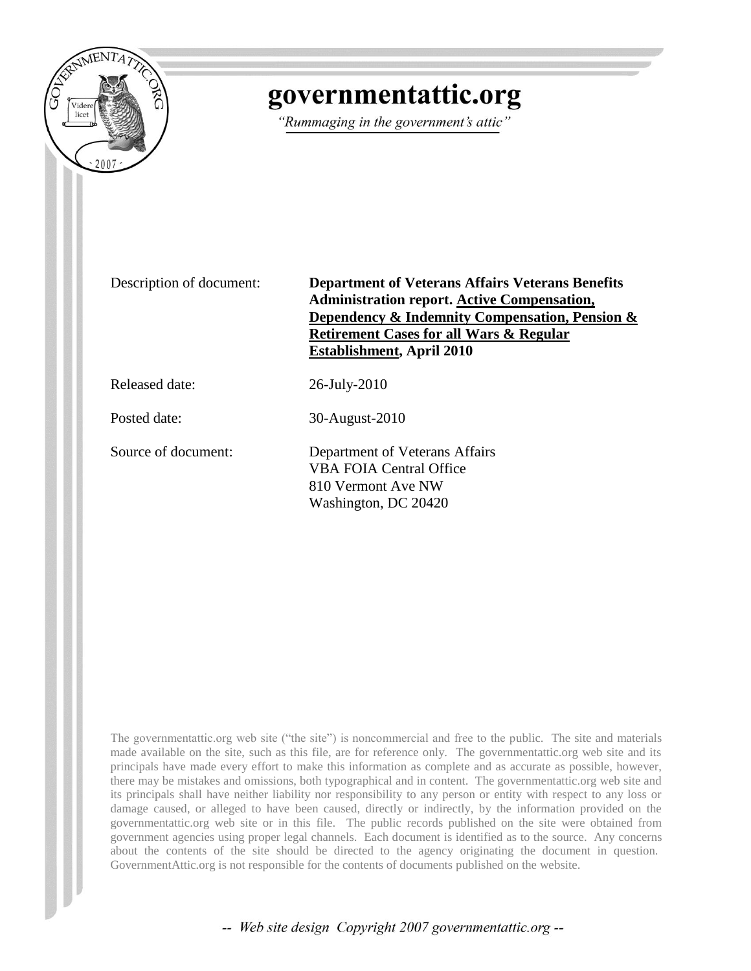

# governmentattic.org

"Rummaging in the government's attic"

Description of document: **Department of Veterans Affairs Veterans Benefits Administration report. Active Compensation, Dependency & Indemnity Compensation, Pension & Retirement Cases for all Wars & Regular Establishment, April 2010**

Released date: 26-July-2010

Posted date: 30-August-2010

Source of document: Department of Veterans Affairs VBA FOIA Central Office 810 Vermont Ave NW Washington, DC 20420

The governmentattic.org web site ("the site") is noncommercial and free to the public. The site and materials made available on the site, such as this file, are for reference only. The governmentattic.org web site and its principals have made every effort to make this information as complete and as accurate as possible, however, there may be mistakes and omissions, both typographical and in content. The governmentattic.org web site and its principals shall have neither liability nor responsibility to any person or entity with respect to any loss or damage caused, or alleged to have been caused, directly or indirectly, by the information provided on the governmentattic.org web site or in this file. The public records published on the site were obtained from government agencies using proper legal channels. Each document is identified as to the source. Any concerns about the contents of the site should be directed to the agency originating the document in question. GovernmentAttic.org is not responsible for the contents of documents published on the website.

-- Web site design Copyright 2007 governmentattic.org --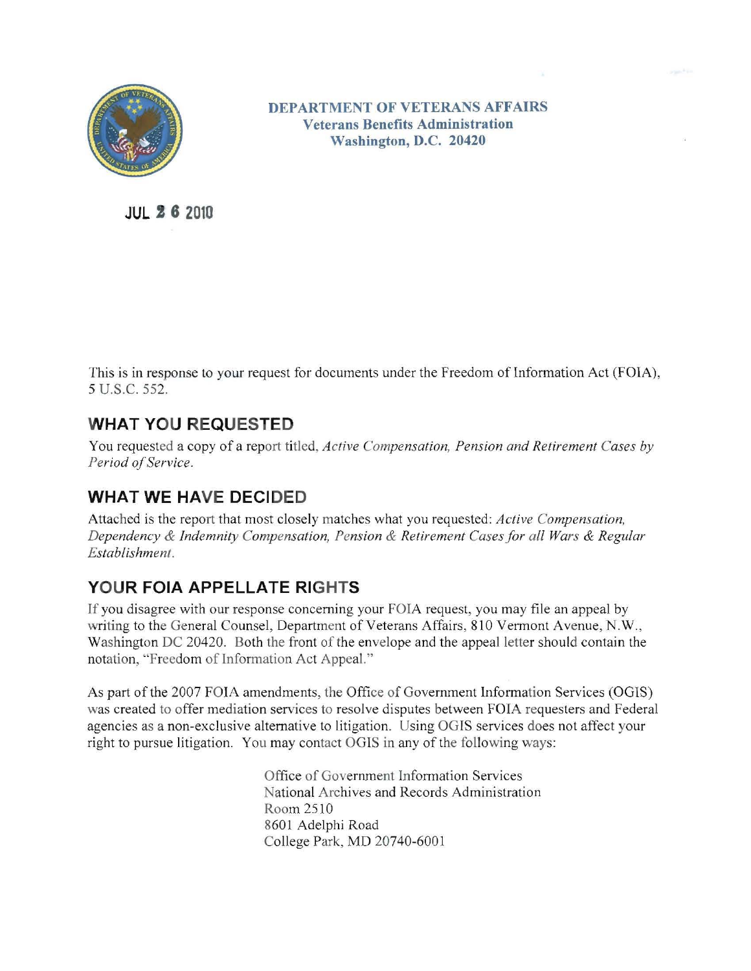

**DEPARTMENT OF VETERANS AFFAIRS Veterans Benefits Administration Washington, D.C. 20420** 

**JUL 26 2010** 

This is in response to your request for documents under the Freedom of Information Act (FOIA), 5 U.S.C. 552.

### **WHAT YOU REQUESTED**

You requested a copy of a report titled, *Active Compensation, Pension and Retirement Cases by Period of Service.* 

## **WHAT WE HAVE DECIDED**

Attached is the report that most closely matches what you requested: *Active Compensation, Dependency* & *Indemnity Compensation, Pension* & *Retirement Cases for all Wars* & *Regular Establishment.* 

### **YOUR FOIA APPELLATE RIGHTS**

**If** you disagree with our response concerning your FOIA request, you may file an appeal by writing to the General Counsel, Department of Veterans Affairs, 810 Vermont Avenue, N.W., Washington DC 20420. Both the front of the envelope and the appeal letter should contain the notation, "Freedom of Information Act Appeal. "

As part of the 2007 FOIA amendments, the Office of Government Information Services (OGIS) was created to offer mediation services to resolve disputes between FOIA requesters and Federal agencies as a non-exclusive alternative to litigation. Using OGIS services does not affect your right to pursue litigation. You may contact OGlS in any of the following ways:

> Office of Government Information Services National Archives and Records Administration Room 2510 8601 Adelphi Road College Park, MD 20740-6001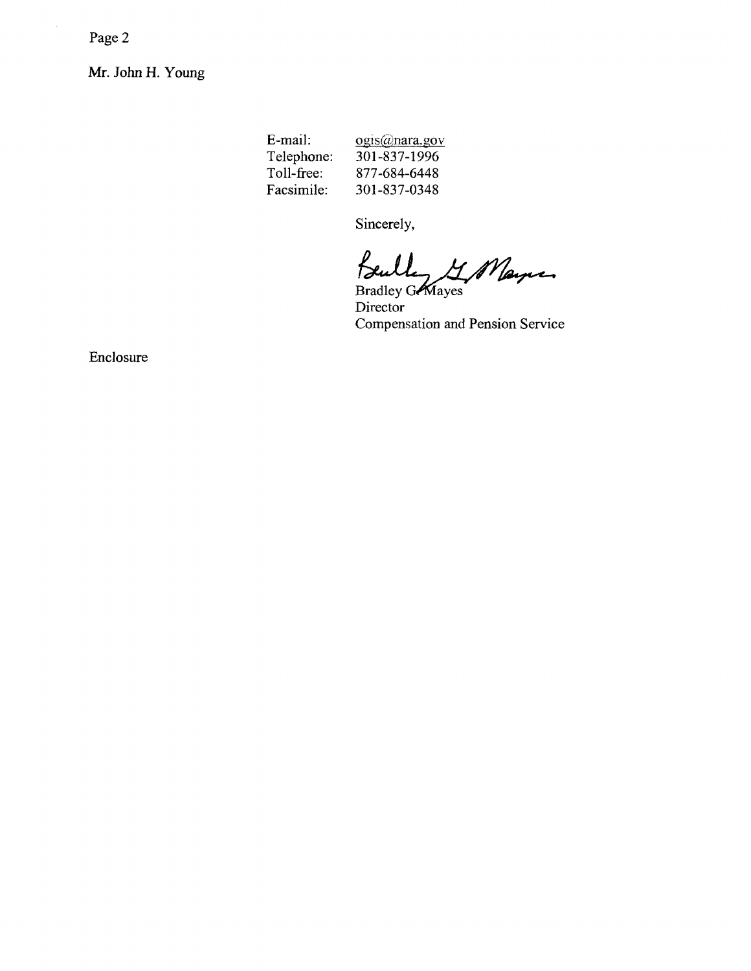Page 2

 $\hat{\mathcal{L}}$ 

Mr. John H. Young

E-mail: ogis@nara.gov Telephone: 301-837-1996 Toll-free: 877-684-6448 Facsimile: 301-837-0348

Sincerely,

Bulley G. Mayne

Bradley Grayes Director Compensation and Pension Service

Enclosure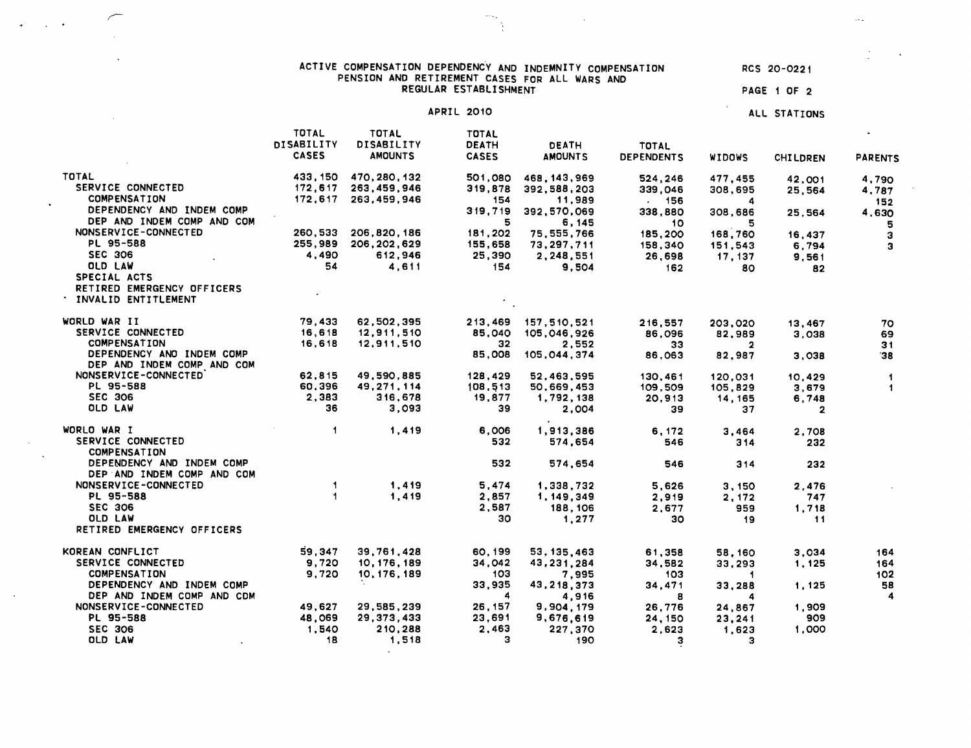| ACTIVE COMPENSATION DEPENDENCY AND INDEMNITY COMPENSATION | RCS 20-0221 |
|-----------------------------------------------------------|-------------|
| PENSION AND RETIREMENT CASES FOR ALL WARS AND             |             |
| REGULAR ESTABLISHMENT                                     | PAGE 1 OF 2 |

 $\omega_{\rm{max}}$ 

 $\Delta \mathbf{v}_\mathrm{c}$ 

 $\mathcal{A}$ 

 $\mathcal{L}_{\text{max}}$  . The  $\mathcal{L}_{\text{max}}$ 

 $\bullet$ 

 $\sim 10$ 

 $\sim$ 

APRIL 2010 ALL STATIONS

 $\bar{\nu}$  .

 $\sim$ 

|                                                         | <b>TOTAL</b><br>DISABILITY | TOTAL<br>DISABILITY | TOTAL<br><b>DEATH</b> | <b>DEATH</b>   | <b>TOTAL</b>      |                         |                 |                      |
|---------------------------------------------------------|----------------------------|---------------------|-----------------------|----------------|-------------------|-------------------------|-----------------|----------------------|
|                                                         | <b>CASES</b>               | <b>AMOUNTS</b>      | <b>CASES</b>          | <b>AMOUNTS</b> | <b>DEPENDENTS</b> | <b>WIDOWS</b>           | <b>CHILDREN</b> | <b>PARENTS</b>       |
| TOTAL                                                   | 433, 150                   | 470,280,132         | 501,080               | 468, 143, 969  | 524,246           | 477.455                 | 42.001          | 4,790                |
| SERVICE CONNECTED                                       | 172,617                    | 263,459,946         | 319,878               | 392.588,203    | 339,046           | 308,695                 | 25,564          | 4,787                |
| <b>COMPENSATION</b>                                     |                            | 172,617 263,459,946 | 154                   | 11,989         | . 156             | 4                       |                 | 152                  |
| DEPENDENCY AND INDEM COMP                               |                            |                     | 319,719               | 392,570,069    | 338,880           | 308,686                 | 25,564          | 4,630                |
| DEP AND INDEM COMP AND COM                              |                            |                     | 5                     | 6,145          | 10                | 5                       |                 | 5                    |
| NONSERVICE-CONNECTED                                    | 260,533                    | 206,820,186         | 181,202               | 75, 555, 766   | 185,200           | 168,760                 | 16,437          | $\mathbf{3}$         |
| PL 95-588<br><b>SEC 306</b>                             | 255,989<br>4.490           | 206,202,629         | 155,658               | 73,297,711     | 158,340           | 151,543                 | 6.794           | э                    |
| OLD LAW                                                 | 54                         | 612,946             | 25,390                | 2,248,551      | 26,698            | 17, 137                 | 9,561           |                      |
| SPECIAL ACTS                                            |                            | 4.611               | 154                   | 9.504          | 162               | 80.                     | 82              |                      |
| RETIRED EMERGENCY OFFICERS<br>* INVALID ENTITLEMENT     |                            |                     |                       |                |                   |                         |                 |                      |
| WORLD WAR II                                            | 79,433                     | 62,502,395          | 213,469               | 157,510,521    | 216,557           | 203.020                 | 13,467          | 70                   |
| SERVICE CONNECTED                                       | 16,618                     | 12,911,510          | 85,040                | 105,046,926    | 86,096            | 82,989                  | 3,038           | 69                   |
| COMPENSATION                                            | 16,618                     | 12,911,510          | 32                    | 2.552          | 33                | $\overline{2}$          |                 | 31                   |
| DEPENDENCY AND INDEM COMP<br>DEP AND INDEM COMP AND COM |                            |                     | 85,008                | 105,044,374    | 86,063            | 82,987                  | 3,038           | 38                   |
| NONSERVICE-CONNECTED                                    | 62.815                     | 49,590,885          | 128,429               | 52,463,595     | 130,461           | 120.031                 | 10,429          | $\mathbf{1}$         |
| PL 95-588                                               | 60,396                     | 49,271,114          | 108,513               | 50,669,453     | 109,509           | 105,829                 | 3,679           | $\blacktriangleleft$ |
| <b>SEC 306</b>                                          | 2,383                      | 316,678             | 19,877                | 1,792,138      | 20,913            | 14, 165                 | 6,748           |                      |
| OLD LAW                                                 | 36                         | 3,093               | 39                    | 2,004          | 39                | 37                      | $\overline{2}$  |                      |
| WORLO WAR I                                             | $\overline{1}$             | 1,419               | 6,006                 | 1,913,386      | 6.172             | 3,464                   | 2.708           |                      |
| SERVICE CONNECTED<br><b>COMPENSATION</b>                |                            |                     | 532                   | 574,654        | 546               | 314                     | 232             |                      |
| DEPENDENCY AND INDEM COMP<br>DEP AND INDEM COMP AND COM |                            |                     | 532                   | 574.654        | 546               | 314                     | 232             |                      |
| NONSERVICE-CONNECTED                                    | $\mathbf{1}$               | 1,419               | 5.474                 | 1,338,732      | 5.626             | 3.150                   | 2,476           |                      |
| PL 95-588                                               | $\mathbf{1}$               | 1,419               | 2,857                 | 1, 149, 349    | 2,919             | 2, 172                  | 747             |                      |
| <b>SEC 306</b>                                          |                            |                     | 2,587                 | 188,106        | 2,677             | 959                     | 1,718           |                      |
| OLD LAW                                                 |                            |                     | 30                    | 1,277          | 30                | 19                      | 11              |                      |
| RETIRED EMERGENCY OFFICERS                              |                            |                     |                       |                |                   |                         |                 |                      |
| KOREAN CONFLICT                                         | 59.347                     | 39,761,428          | 60,199                | 53, 135, 463   | 61,358            | 58,160                  | 3,034           | 164                  |
| SERVICE CONNECTED                                       | 9,720                      | 10, 176, 189        | 34,042                | 43,231,284     | 34,582            | 33,293                  | 1,125           | 164                  |
| <b>COMPENSATION</b>                                     | 9.720                      | 10, 176, 189        | 103                   | 7,995          | 103               | $\overline{\mathbf{1}}$ |                 | 102                  |
| DEPENDENCY AND INDEM COMP                               |                            |                     | 33,935                | 43,218,373     | 34,471            | 33,288                  | 1,125           | 58                   |
| DEP AND INDEM COMP AND CDM                              |                            |                     | $\blacktriangle$      | 4,916          | 8                 | 4                       |                 | $\boldsymbol{4}$     |
| NONSERVICE-CONNECTED                                    | 49,627                     | 29,585,239          | 26, 157               | 9,904,179      | 26.776            | 24,867                  | 1,909           |                      |
| PL 95-588                                               | 48,069                     | 29,373,433          | 23,691                | 9,676,619      | 24, 150           | 23,241                  | 909             |                      |
| <b>SEC 306</b>                                          | 1.540                      | 210,288             | 2,463                 | 227,370        | 2,623             | 1,623                   | 1,000           |                      |
| OLD LAW                                                 | 18                         | 1,518               | з                     | 190            | з                 | з                       |                 |                      |